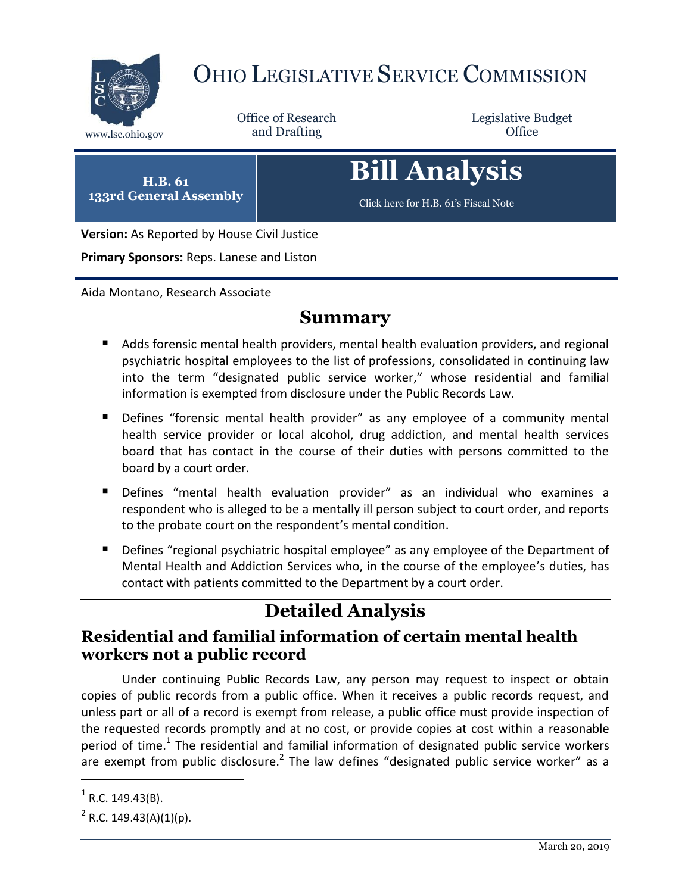

# OHIO LEGISLATIVE SERVICE COMMISSION

Office of Research

Legislative Budget

**H.B. 61 133rd General Assembly**

[Click here for H.B. 61](https://www.legislature.ohio.gov/legislation/legislation-documents?id=GA133-HB-61)'s Fiscal Note

**Bill Analysis**

**Version:** As Reported by House Civil Justice

**Primary Sponsors:** Reps. Lanese and Liston

Aida Montano, Research Associate

## **Summary**

- Adds forensic mental health providers, mental health evaluation providers, and regional psychiatric hospital employees to the list of professions, consolidated in continuing law into the term "designated public service worker," whose residential and familial information is exempted from disclosure under the Public Records Law.
- Defines "forensic mental health provider" as any employee of a community mental health service provider or local alcohol, drug addiction, and mental health services board that has contact in the course of their duties with persons committed to the board by a court order.
- Defines "mental health evaluation provider" as an individual who examines a respondent who is alleged to be a mentally ill person subject to court order, and reports to the probate court on the respondent's mental condition.
- **Defines "regional psychiatric hospital employee" as any employee of the Department of** Mental Health and Addiction Services who, in the course of the employee's duties, has contact with patients committed to the Department by a court order.

# **Detailed Analysis**

#### **Residential and familial information of certain mental health workers not a public record**

Under continuing Public Records Law, any person may request to inspect or obtain copies of public records from a public office. When it receives a public records request, and unless part or all of a record is exempt from release, a public office must provide inspection of the requested records promptly and at no cost, or provide copies at cost within a reasonable period of time.<sup>1</sup> The residential and familial information of designated public service workers are exempt from public disclosure.<sup>2</sup> The law defines "designated public service worker" as a

 $\overline{\phantom{a}}$ 

 $<sup>1</sup>$  R.C. 149.43(B).</sup>

 $2^2$  R.C. 149.43(A)(1)(p).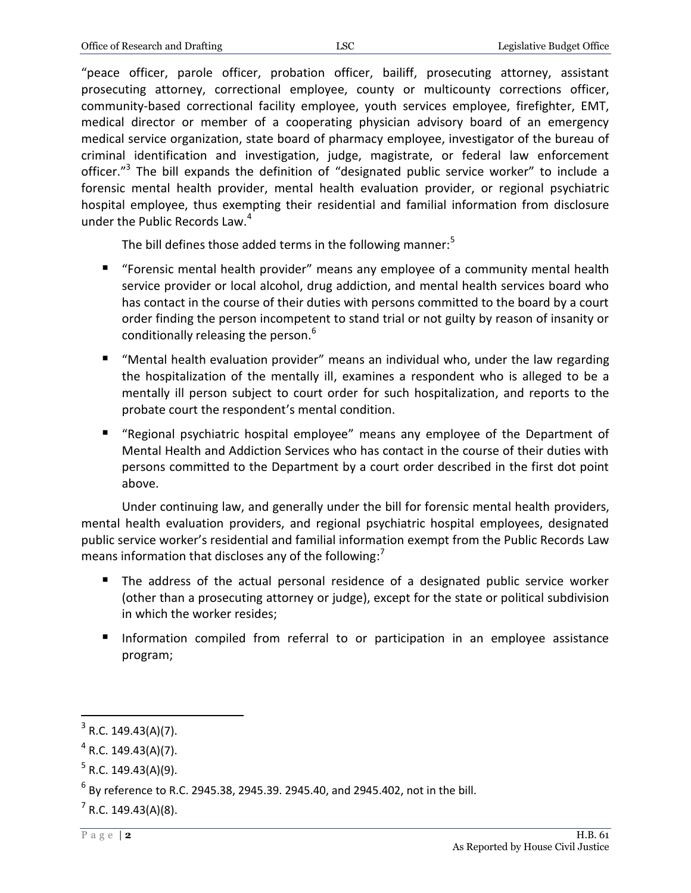"peace officer, parole officer, probation officer, bailiff, prosecuting attorney, assistant prosecuting attorney, correctional employee, county or multicounty corrections officer, community-based correctional facility employee, youth services employee, firefighter, EMT, medical director or member of a cooperating physician advisory board of an emergency medical service organization, state board of pharmacy employee, investigator of the bureau of criminal identification and investigation, judge, magistrate, or federal law enforcement officer."<sup>3</sup> The bill expands the definition of "designated public service worker" to include a forensic mental health provider, mental health evaluation provider, or regional psychiatric hospital employee, thus exempting their residential and familial information from disclosure under the Public Records Law.<sup>4</sup>

The bill defines those added terms in the following manner: $5$ 

- "Forensic mental health provider" means any employee of a community mental health service provider or local alcohol, drug addiction, and mental health services board who has contact in the course of their duties with persons committed to the board by a court order finding the person incompetent to stand trial or not guilty by reason of insanity or conditionally releasing the person.<sup>6</sup>
- "Mental health evaluation provider" means an individual who, under the law regarding the hospitalization of the mentally ill, examines a respondent who is alleged to be a mentally ill person subject to court order for such hospitalization, and reports to the probate court the respondent's mental condition.
- "Regional psychiatric hospital employee" means any employee of the Department of Mental Health and Addiction Services who has contact in the course of their duties with persons committed to the Department by a court order described in the first dot point above.

Under continuing law, and generally under the bill for forensic mental health providers, mental health evaluation providers, and regional psychiatric hospital employees, designated public service worker's residential and familial information exempt from the Public Records Law means information that discloses any of the following:<sup>7</sup>

- The address of the actual personal residence of a designated public service worker (other than a prosecuting attorney or judge), except for the state or political subdivision in which the worker resides;
- **Information compiled from referral to or participation in an employee assistance** program;

 $\overline{a}$ 

 $3$  R.C. 149.43(A)(7).

 $4$  R.C. 149.43(A)(7).

 $5$  R.C. 149.43(A)(9).

 $^6$  By reference to R.C. 2945.38, 2945.39. 2945.40, and 2945.402, not in the bill.

 $7$  R.C. 149.43(A)(8).